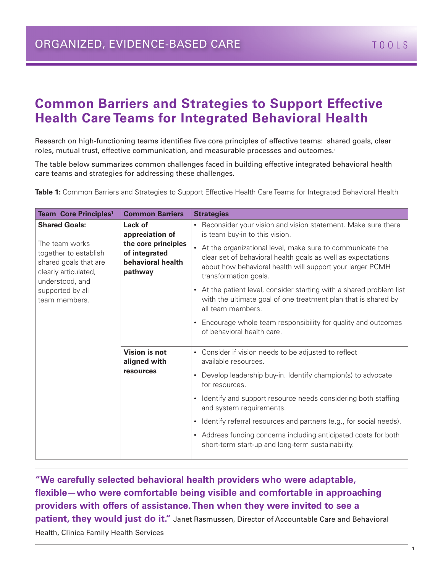## **Common Barriers and Strategies to Support Effective Health Care Teams for Integrated Behavioral Health**

Research on high-functioning teams identifies five core principles of effective teams: shared goals, clear roles, mutual trust, effective communication, and measurable processes and outcomes.1

The table below summarizes common challenges faced in building effective integrated behavioral health care teams and strategies for addressing these challenges.

**Table 1:** Common Barriers and Strategies to Support Effective Health Care Teams for Integrated Behavioral Health

| <b>Team Core Principles<sup>1</sup></b>                                                                                                                                  | <b>Common Barriers</b>                                                                             | <b>Strategies</b>                                                                                                                                                                                                 |
|--------------------------------------------------------------------------------------------------------------------------------------------------------------------------|----------------------------------------------------------------------------------------------------|-------------------------------------------------------------------------------------------------------------------------------------------------------------------------------------------------------------------|
| <b>Shared Goals:</b><br>The team works<br>together to establish<br>shared goals that are<br>clearly articulated,<br>understood, and<br>supported by all<br>team members. | Lack of<br>appreciation of<br>the core principles<br>of integrated<br>behavioral health<br>pathway | • Reconsider your vision and vision statement. Make sure there<br>is team buy-in to this vision.                                                                                                                  |
|                                                                                                                                                                          |                                                                                                    | • At the organizational level, make sure to communicate the<br>clear set of behavioral health goals as well as expectations<br>about how behavioral health will support your larger PCMH<br>transformation goals. |
|                                                                                                                                                                          |                                                                                                    | • At the patient level, consider starting with a shared problem list<br>with the ultimate goal of one treatment plan that is shared by<br>all team members.                                                       |
|                                                                                                                                                                          |                                                                                                    | Encourage whole team responsibility for quality and outcomes<br>$\bullet$<br>of behavioral health care.                                                                                                           |
|                                                                                                                                                                          | Vision is not<br>aligned with<br>resources                                                         | • Consider if vision needs to be adjusted to reflect<br>available resources.                                                                                                                                      |
|                                                                                                                                                                          |                                                                                                    | Develop leadership buy-in. Identify champion(s) to advocate<br>for resources.                                                                                                                                     |
|                                                                                                                                                                          |                                                                                                    | Identify and support resource needs considering both staffing<br>$\bullet$<br>and system requirements.                                                                                                            |
|                                                                                                                                                                          |                                                                                                    | Identify referral resources and partners (e.g., for social needs).<br>$\bullet$                                                                                                                                   |
|                                                                                                                                                                          |                                                                                                    | • Address funding concerns including anticipated costs for both<br>short-term start-up and long-term sustainability.                                                                                              |

**"We carefully selected behavioral health providers who were adaptable, flexible—who were comfortable being visible and comfortable in approaching providers with offers of assistance. Then when they were invited to see a patient, they would just do it."** Janet Rasmussen, Director of Accountable Care and Behavioral Health, Clinica Family Health Services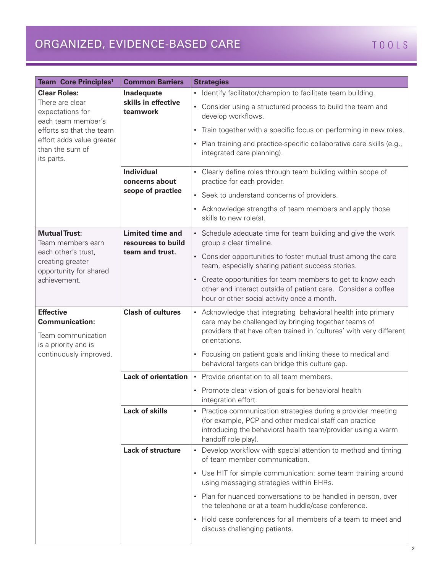# ORGANIZED, EVIDENCE-BASED CARE TOOLS

| <b>Team Core Principles<sup>1</sup></b>                                                                                                                                    | <b>Common Barriers</b>                                           | <b>Strategies</b>                                                                                                                                                                                              |
|----------------------------------------------------------------------------------------------------------------------------------------------------------------------------|------------------------------------------------------------------|----------------------------------------------------------------------------------------------------------------------------------------------------------------------------------------------------------------|
| <b>Clear Roles:</b><br>There are clear<br>expectations for<br>each team member's<br>efforts so that the team<br>effort adds value greater<br>than the sum of<br>its parts. | Inadequate<br>skills in effective<br>teamwork                    | • Identify facilitator/champion to facilitate team building.<br>• Consider using a structured process to build the team and<br>develop workflows.                                                              |
|                                                                                                                                                                            |                                                                  | • Train together with a specific focus on performing in new roles.                                                                                                                                             |
|                                                                                                                                                                            |                                                                  | Plan training and practice-specific collaborative care skills (e.g.,<br>$\bullet$<br>integrated care planning).                                                                                                |
|                                                                                                                                                                            | <b>Individual</b><br>concerns about<br>scope of practice         | • Clearly define roles through team building within scope of<br>practice for each provider.                                                                                                                    |
|                                                                                                                                                                            |                                                                  | • Seek to understand concerns of providers.                                                                                                                                                                    |
|                                                                                                                                                                            |                                                                  | • Acknowledge strengths of team members and apply those<br>skills to new role(s).                                                                                                                              |
| <b>Mutual Trust:</b><br>Team members earn<br>each other's trust,<br>creating greater<br>opportunity for shared<br>achievement.                                             | <b>Limited time and</b><br>resources to build<br>team and trust. | • Schedule adequate time for team building and give the work<br>group a clear timeline.                                                                                                                        |
|                                                                                                                                                                            |                                                                  | • Consider opportunities to foster mutual trust among the care<br>team, especially sharing patient success stories.                                                                                            |
|                                                                                                                                                                            |                                                                  | • Create opportunities for team members to get to know each<br>other and interact outside of patient care. Consider a coffee<br>hour or other social activity once a month.                                    |
| <b>Effective</b><br><b>Communication:</b><br>Team communication<br>is a priority and is<br>continuously improved.                                                          | <b>Clash of cultures</b>                                         | • Acknowledge that integrating behavioral health into primary<br>care may be challenged by bringing together teams of<br>providers that have often trained in 'cultures' with very different<br>orientations.  |
|                                                                                                                                                                            |                                                                  | • Focusing on patient goals and linking these to medical and<br>behavioral targets can bridge this culture gap.                                                                                                |
|                                                                                                                                                                            |                                                                  | <b>Lack of orientation  </b> • Provide orientation to all team members.                                                                                                                                        |
|                                                                                                                                                                            |                                                                  | • Promote clear vision of goals for behavioral health<br>integration effort.                                                                                                                                   |
|                                                                                                                                                                            | <b>Lack of skills</b>                                            | • Practice communication strategies during a provider meeting<br>(for example, PCP and other medical staff can practice<br>introducing the behavioral health team/provider using a warm<br>handoff role play). |
|                                                                                                                                                                            | <b>Lack of structure</b>                                         | Develop workflow with special attention to method and timing<br>$\bullet$<br>of team member communication.                                                                                                     |
|                                                                                                                                                                            |                                                                  | • Use HIT for simple communication: some team training around<br>using messaging strategies within EHRs.                                                                                                       |
|                                                                                                                                                                            |                                                                  | • Plan for nuanced conversations to be handled in person, over<br>the telephone or at a team huddle/case conference.                                                                                           |
|                                                                                                                                                                            |                                                                  | • Hold case conferences for all members of a team to meet and<br>discuss challenging patients.                                                                                                                 |